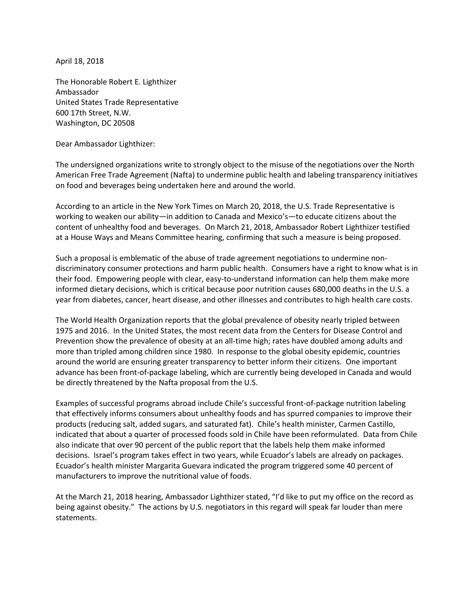April 18, 2018

The Honorable Robert E. Lighthizer Ambassador United States Trade Representative 600 17th Street, N.W. Washington, DC 20508

Dear Ambassador Lighthizer:

The undersigned organizations write to strongly object to the misuse of the negotiations over the North American Free Trade Agreement (Nafta) to undermine public health and labeling transparency initiatives on food and beverages being undertaken here and around the world.

According to an article in the New York Times on March 20, 2018, the U.S. Trade Representative is working to weaken our ability—in addition to Canada and Mexico's—to educate citizens about the content of unhealthy food and beverages. On March 21, 2018, Ambassador Robert Lighthizer testified at a House Ways and Means Committee hearing, confirming that such a measure is being proposed.

Such a proposal is emblematic of the abuse of trade agreement negotiations to undermine nondiscriminatory consumer protections and harm public health. Consumers have a right to know what is in their food. Empowering people with clear, easy-to-understand information can help them make more informed dietary decisions, which is critical because poor nutrition causes 680,000 deaths in the U.S. a year from diabetes, cancer, heart disease, and other illnesses and contributes to high health care costs.

The World Health Organization reports that the global prevalence of obesity nearly tripled between 1975 and 2016. In the United States, the most recent data from the Centers for Disease Control and Prevention show the prevalence of obesity at an all-time high; rates have doubled among adults and more than tripled among children since 1980. In response to the global obesity epidemic, countries around the world are ensuring greater transparency to better inform their citizens. One important advance has been front-of-package labeling, which are currently being developed in Canada and would be directly threatened by the Nafta proposal from the U.S.

Examples of successful programs abroad include Chile's successful front-of-package nutrition labeling that effectively informs consumers about unhealthy foods and has spurred companies to improve their products (reducing salt, added sugars, and saturated fat). Chile's health minister, Carmen Castillo, indicated that about a quarter of processed foods sold in Chile have been reformulated. Data from Chile also indicate that over 90 percent of the public report that the labels help them make informed decisions. Israel's program takes effect in two years, while Ecuador's labels are already on packages. Ecuador's health minister Margarita Guevara indicated the program triggered some 40 percent of manufacturers to improve the nutritional value of foods.

At the March 21, 2018 hearing, Ambassador Lighthizer stated, "I'd like to put my office on the record as being against obesity." The actions by U.S. negotiators in this regard will speak far louder than mere statements.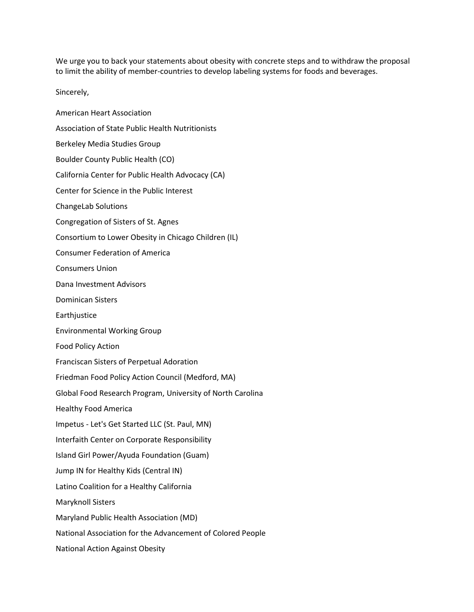We urge you to back your statements about obesity with concrete steps and to withdraw the proposal to limit the ability of member-countries to develop labeling systems for foods and beverages.

Sincerely,

American Heart Association Association of State Public Health Nutritionists Berkeley Media Studies Group Boulder County Public Health (CO) California Center for Public Health Advocacy (CA) Center for Science in the Public Interest ChangeLab Solutions Congregation of Sisters of St. Agnes Consortium to Lower Obesity in Chicago Children (IL) Consumer Federation of America Consumers Union Dana Investment Advisors Dominican Sisters **Earthjustice** Environmental Working Group Food Policy Action Franciscan Sisters of Perpetual Adoration Friedman Food Policy Action Council (Medford, MA) Global Food Research Program, University of North Carolina Healthy Food America Impetus - Let's Get Started LLC (St. Paul, MN) Interfaith Center on Corporate Responsibility Island Girl Power/Ayuda Foundation (Guam) Jump IN for Healthy Kids (Central IN) Latino Coalition for a Healthy California Maryknoll Sisters Maryland Public Health Association (MD) National Association for the Advancement of Colored People National Action Against Obesity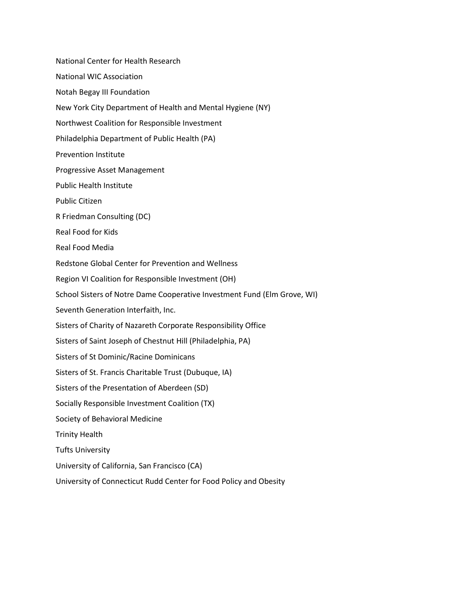National Center for Health Research National WIC Association Notah Begay III Foundation New York City Department of Health and Mental Hygiene (NY) Northwest Coalition for Responsible Investment Philadelphia Department of Public Health (PA) Prevention Institute Progressive Asset Management Public Health Institute Public Citizen R Friedman Consulting (DC) Real Food for Kids Real Food Media Redstone Global Center for Prevention and Wellness Region VI Coalition for Responsible Investment (OH) School Sisters of Notre Dame Cooperative Investment Fund (Elm Grove, WI) Seventh Generation Interfaith, Inc. Sisters of Charity of Nazareth Corporate Responsibility Office Sisters of Saint Joseph of Chestnut Hill (Philadelphia, PA) Sisters of St Dominic/Racine Dominicans Sisters of St. Francis Charitable Trust (Dubuque, IA) Sisters of the Presentation of Aberdeen (SD) Socially Responsible Investment Coalition (TX) Society of Behavioral Medicine Trinity Health Tufts University University of California, San Francisco (CA)

University of Connecticut Rudd Center for Food Policy and Obesity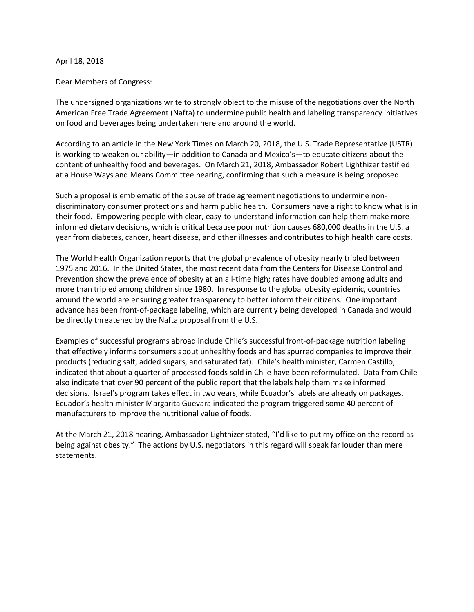## April 18, 2018

## Dear Members of Congress:

The undersigned organizations write to strongly object to the misuse of the negotiations over the North American Free Trade Agreement (Nafta) to undermine public health and labeling transparency initiatives on food and beverages being undertaken here and around the world.

According to an article in the New York Times on March 20, 2018, the U.S. Trade Representative (USTR) is working to weaken our ability—in addition to Canada and Mexico's—to educate citizens about the content of unhealthy food and beverages. On March 21, 2018, Ambassador Robert Lighthizer testified at a House Ways and Means Committee hearing, confirming that such a measure is being proposed.

Such a proposal is emblematic of the abuse of trade agreement negotiations to undermine nondiscriminatory consumer protections and harm public health. Consumers have a right to know what is in their food. Empowering people with clear, easy-to-understand information can help them make more informed dietary decisions, which is critical because poor nutrition causes 680,000 deaths in the U.S. a year from diabetes, cancer, heart disease, and other illnesses and contributes to high health care costs.

The World Health Organization reports that the global prevalence of obesity nearly tripled between 1975 and 2016. In the United States, the most recent data from the Centers for Disease Control and Prevention show the prevalence of obesity at an all-time high; rates have doubled among adults and more than tripled among children since 1980. In response to the global obesity epidemic, countries around the world are ensuring greater transparency to better inform their citizens. One important advance has been front-of-package labeling, which are currently being developed in Canada and would be directly threatened by the Nafta proposal from the U.S.

Examples of successful programs abroad include Chile's successful front-of-package nutrition labeling that effectively informs consumers about unhealthy foods and has spurred companies to improve their products (reducing salt, added sugars, and saturated fat). Chile's health minister, Carmen Castillo, indicated that about a quarter of processed foods sold in Chile have been reformulated. Data from Chile also indicate that over 90 percent of the public report that the labels help them make informed decisions. Israel's program takes effect in two years, while Ecuador's labels are already on packages. Ecuador's health minister Margarita Guevara indicated the program triggered some 40 percent of manufacturers to improve the nutritional value of foods.

At the March 21, 2018 hearing, Ambassador Lighthizer stated, "I'd like to put my office on the record as being against obesity." The actions by U.S. negotiators in this regard will speak far louder than mere statements.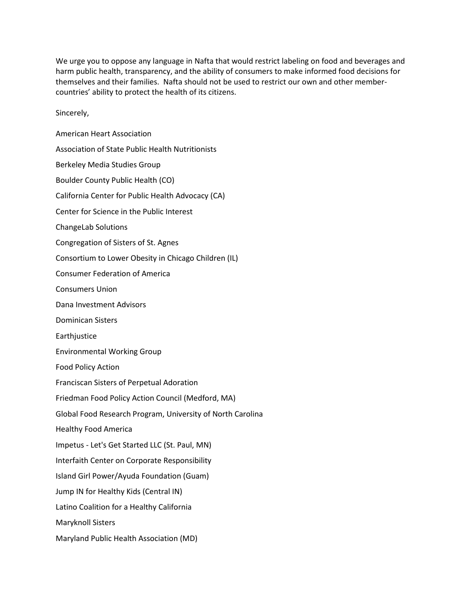We urge you to oppose any language in Nafta that would restrict labeling on food and beverages and harm public health, transparency, and the ability of consumers to make informed food decisions for themselves and their families. Nafta should not be used to restrict our own and other membercountries' ability to protect the health of its citizens.

Sincerely,

American Heart Association Association of State Public Health Nutritionists Berkeley Media Studies Group Boulder County Public Health (CO) California Center for Public Health Advocacy (CA) Center for Science in the Public Interest ChangeLab Solutions Congregation of Sisters of St. Agnes Consortium to Lower Obesity in Chicago Children (IL) Consumer Federation of America Consumers Union Dana Investment Advisors Dominican Sisters Earthjustice Environmental Working Group Food Policy Action Franciscan Sisters of Perpetual Adoration Friedman Food Policy Action Council (Medford, MA) Global Food Research Program, University of North Carolina Healthy Food America Impetus - Let's Get Started LLC (St. Paul, MN) Interfaith Center on Corporate Responsibility Island Girl Power/Ayuda Foundation (Guam) Jump IN for Healthy Kids (Central IN) Latino Coalition for a Healthy California Maryknoll Sisters Maryland Public Health Association (MD)